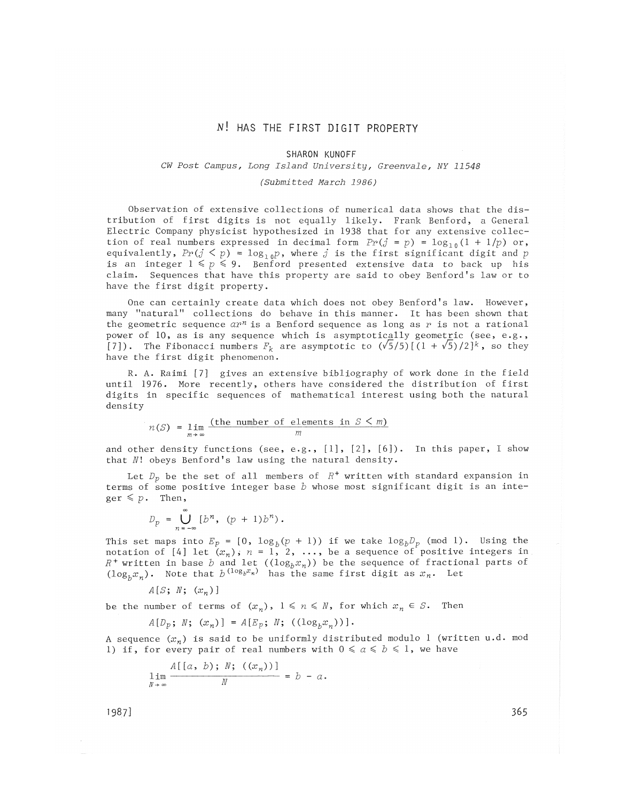# N! HAS THE FIRST DIGIT PROPERTY

#### SHARON KUNOFF

## *CW Post Campus, Long Island University, Greenvale, NY 11548*

#### *(Submitted March 1986)*

Observation of extensive collections of numerical data shows that the distribution of first digits is not equally likely. Frank Benford, a General Electric Company physicist hypothesized in 1938 that for any extensive collection of real numbers expressed in decimal form  $Pr(j = p) = log_{10}(1 + 1/p)$  or, equivalently,  $Pr(j \le p) = log_{10}p$ , where j is the first significant digit and p is an integer  $1 \leq p \leq 9$ . Benford presented extensive data to back up his claim. Sequences that have this property are said to obey Benford's law or to have the first digit property.

One can certainly create data which does not obey Benford's law. However, many "natural" collections do behave in this manner. It has been shown that the geometric sequence *avn* is a Benford sequence as long as *v* is not a rational power of 10, as is any sequence which is asymptotically geometric (see, e.g., [7]). The Fibonacci numbers  $F_k$  are asymptotic to  $(\sqrt{5}/5)[\,(1+\sqrt{5})/2\,]^k$ , so they have the first digit phenomenon.

R. A. Raimi [7] gives an extensive bibliography of work done in the field until 1976. More recently, others have considered the distribution of first digits in specific sequences of mathematical interest using both the natural density

$$
n(S) = \lim_{m \to \infty} \frac{\text{(the number of elements in } S < m)}{m}
$$

and other density functions (see, e.g.,  $[1]$ ,  $[2]$ ,  $[6]$ ). In this paper, I show that *N*! obeys Benford's law using the natural density**.** 

Let  $D_p$  be the set of all members of  $R^+$  written with standard expansion in terms of some positive integer base *b* whose most significant digit is an inte $ger \leq p$ . Then,

$$
D_p = \bigcup_{n=-\infty}^{\infty} [b^n, (p+1)b^n).
$$

This set maps into  $E_p$  =  $[0,~\log_b(p+1))$  if we take  $\log_b \! D_p$  (mod  $1$ ). Using the notation of [4] let  $(x_n)$ ;  $n = 1, 2, \ldots$ , be a sequence of positive integers in  $R^+$  written in base  $b$  and let  $((\log_b x_n))$  be the sequence of fractional parts of  $(\log_b x_n)$ . Note that  $b^{\,(\log_b x_n)}$  has the same first digit as  $x_n$ . Let

*A[S; N; (xn)]* 

be the number of terms of  $(x_n)$ ,  $1 \le n \le N$ , for which  $x_n \in S$ . Then

$$
A[D_p; N; (x_n)] = A[E_p; N; ((log_h x_n))].
$$

A sequence  $(x_n)$  is said to be uniformly distributed modulo 1 (written u.d. mod 1) if, for every pair of real numbers with  $0 \le a \le b \le 1$ , we have

$$
\lim_{\substack{N \to \infty}} \frac{A[(a, b); N; ((x_n))]}{N} = b - a.
$$

1987] 365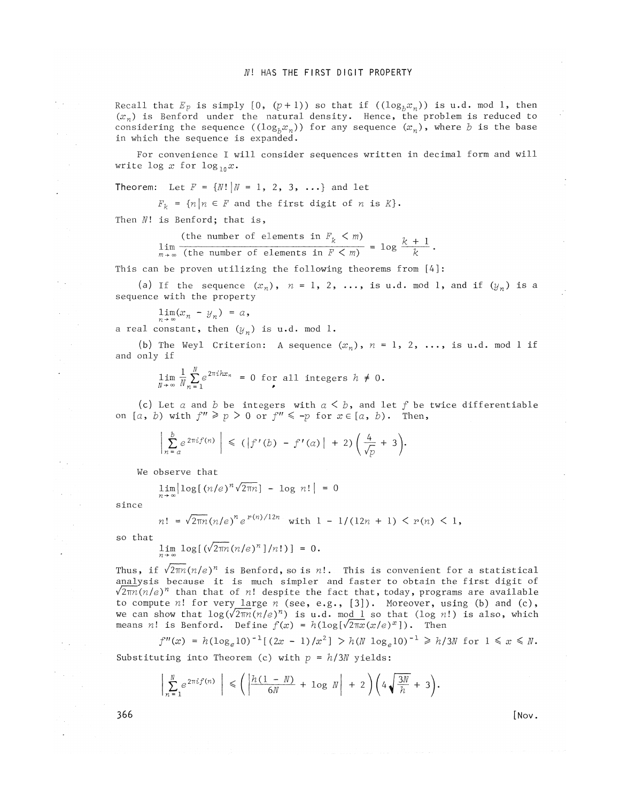Recall that  $E_p$  is simply  $[0, (p+1))$  so that if  $((log_b x_n))$  is u.d. mod 1, then  $(x_n)$  is Benford under the natural density. Hence, the problem is reduced to considering the sequence  $((log_b x_n))$  for any sequence  $(x_n)$ , where *b* is the base in which the sequence is expanded.

For convenience I will consider sequences written in decimal form and will write  $\log x$  for  $\log_{10} x$ .

**Theorem:** Let  $F = \{N! | N = 1, 2, 3, ...\}$  and let

 $F_k = \{n | n \in F \text{ and the first digit of } n \text{ is } K\}.$ 

Then *Nl* is Benford; that is,

(the number of elements in  $F_{\nu} < m$ )  $\lim_{k \to \infty} \frac{k+1}{i}$  $\sum_{m \to \infty}^{\infty}$  (the number of elements in  $F < m$ )  $\longrightarrow$  *k* 

This can be proven utilizing the following theorems from [4]:

(a) If the sequence  $(x_n)$ ,  $n = 1, 2, \ldots$ , is u.d. mod 1, and if  $(y_n)$  is a sequence with the property

 $\lim_{n\,\rightarrow\,\infty} (x_n \; - \; y_n) \; = \; \alpha \, ,$ 

a real constant, then  $(y_n)$  is u.d. mod 1.

(b) The Weyl Criterion: A sequence  $(x_n)$ ,  $n = 1$ ,  $2$ ,  $\dots$ , is  $u$ .d. mod  $l$  if and only if

$$
\lim_{N \to \infty} \frac{1}{N} \sum_{n=1}^{N} e^{2\pi i h x_n} = 0 \text{ for all integers } h \neq 0.
$$

(c) Let  $\alpha$  and  $\beta$  be integers with  $\alpha \leq \beta$ , and let  $f$  be twice differentiable on  $[a, b)$  with  $f'' \geq p > 0$  or  $f'' \leq -p$  for  $x \in [a, b)$ . Then,

$$
\left|\sum_{n=a}^{b}e^{2\pi i f(n)}\right| \leq (|f'(b) - f'(a)| + 2)\left(\frac{4}{\sqrt{p}} + 3\right).
$$

We observe that

 $\lim|\log[$   $(n/e)^n\sqrt{2\pi n}] - \log n!$  | =

since

$$
n! = \sqrt{2\pi n} (n/e)^n e^{r(n)/12n} \text{ with } 1 - 1/(12n + 1) < r(n) < 1,
$$

so that

 $\lim_{n \to \infty} \log[(\sqrt{2\pi n} (n/e)^n]/n!) = 0.$ 

Thus, if  $\sqrt{2\pi n (n/e)^n}$  is Benford, so is *n*!. This is convenient for a statistical analysis because it is much simpler and faster to obtain the first digit of  $\sqrt{2\pi n(n/e)^n}$  than that of *n*! despite the fact that, today, programs are available to compute *nl* for very large *n* (see, e.g., [3]). Moreover, using (b) and (c), we can show that  $\log(\sqrt{2\pi n}(n/e)^n)$  is u.d. mod  $l$  so that (log  $n!)$  is also, which means *n*! is Benford. Define  $f(x) = h(\log[\sqrt{2\pi x}(x/e)^x])$ . Then

 $f''(x) = h(\log_e 10)^{-1} [(2x - 1)/x^2] > h(N \log_e 10)^{-1} \ge h/3N$  for  $1 \le x \le N$ . Substituting into Theorem (c) with  $p = h/3N$  yields:

$$
\left|\sum_{n=1}^N e^{2\pi i f(n)}\right| \leq \left(\left|\frac{h(1-N)}{6N} + \log N\right| + 2\right)\left(4\sqrt{\frac{3N}{h}} + 3\right).
$$

 $366$  [Nov.